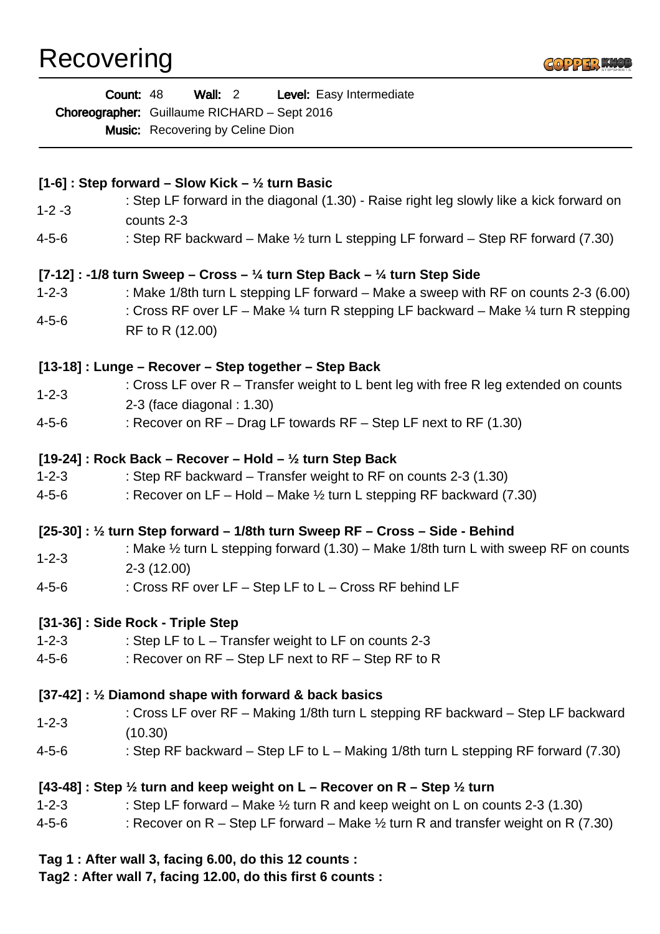## Recovering



| Wall: 2 Level: Easy Intermediate<br>Count: 48<br>Choreographer: Guillaume RICHARD - Sept 2016<br><b>Music:</b> Recovering by Celine Dion |                                                                                                                             |
|------------------------------------------------------------------------------------------------------------------------------------------|-----------------------------------------------------------------------------------------------------------------------------|
|                                                                                                                                          | [1-6] : Step forward – Slow Kick – $\frac{1}{2}$ turn Basic                                                                 |
| $1 - 2 - 3$                                                                                                                              | : Step LF forward in the diagonal (1.30) - Raise right leg slowly like a kick forward on<br>counts 2-3                      |
| $4 - 5 - 6$                                                                                                                              | : Step RF backward – Make $\frac{1}{2}$ turn L stepping LF forward – Step RF forward (7.30)                                 |
|                                                                                                                                          | [7-12] : -1/8 turn Sweep – Cross – $\frac{1}{4}$ turn Step Back – $\frac{1}{4}$ turn Step Side                              |
| $1 - 2 - 3$                                                                                                                              | : Make 1/8th turn L stepping LF forward – Make a sweep with RF on counts 2-3 (6.00)                                         |
| $4 - 5 - 6$                                                                                                                              | : Cross RF over LF – Make $\frac{1}{4}$ turn R stepping LF backward – Make $\frac{1}{4}$ turn R stepping<br>RF to R (12.00) |
|                                                                                                                                          | [13-18] : Lunge – Recover – Step together – Step Back                                                                       |
| $1 - 2 - 3$                                                                                                                              | : Cross LF over $R$ – Transfer weight to L bent leg with free R leg extended on counts<br>$2-3$ (face diagonal : 1.30)      |
| $4 - 5 - 6$                                                                                                                              | : Recover on RF - Drag LF towards RF - Step LF next to RF (1.30)                                                            |
|                                                                                                                                          | [19-24] : Rock Back – Recover – Hold – $\frac{1}{2}$ turn Step Back                                                         |
| $1 - 2 - 3$                                                                                                                              | : Step RF backward – Transfer weight to RF on counts 2-3 (1.30)                                                             |
| 4-5-6                                                                                                                                    | : Recover on LF – Hold – Make $\frac{1}{2}$ turn L stepping RF backward (7.30)                                              |
|                                                                                                                                          | [25-30]: 1/2 turn Step forward – 1/8th turn Sweep RF – Cross – Side - Behind                                                |
| $1 - 2 - 3$                                                                                                                              | : Make $\frac{1}{2}$ turn L stepping forward (1.30) – Make 1/8th turn L with sweep RF on counts<br>$2-3(12.00)$             |
| $4 - 5 - 6$                                                                                                                              | : Cross RF over LF - Step LF to L - Cross RF behind LF                                                                      |
|                                                                                                                                          | [31-36]: Side Rock - Triple Step                                                                                            |
| $1 - 2 - 3$                                                                                                                              | : Step LF to $L - T$ ransfer weight to LF on counts 2-3                                                                     |
| 4-5-6                                                                                                                                    | : Recover on RF - Step LF next to RF - Step RF to R                                                                         |
|                                                                                                                                          | [37-42]: $\frac{1}{2}$ Diamond shape with forward & back basics                                                             |
| $1 - 2 - 3$                                                                                                                              | : Cross LF over RF – Making 1/8th turn L stepping RF backward – Step LF backward<br>(10.30)                                 |
| $4 - 5 - 6$                                                                                                                              | : Step RF backward – Step LF to L – Making 1/8th turn L stepping RF forward (7.30)                                          |
|                                                                                                                                          | [43-48] : Step $\frac{1}{2}$ turn and keep weight on L – Recover on R – Step $\frac{1}{2}$ turn                             |
| $1 - 2 - 3$                                                                                                                              | : Step LF forward – Make $\frac{1}{2}$ turn R and keep weight on L on counts 2-3 (1.30)                                     |
| 4-5-6                                                                                                                                    | : Recover on R – Step LF forward – Make $\frac{1}{2}$ turn R and transfer weight on R (7.30)                                |
|                                                                                                                                          | Tag 1 : After wall 3, facing 6.00, do this 12 counts :                                                                      |

**Tag2 : After wall 7, facing 12.00, do this first 6 counts :**